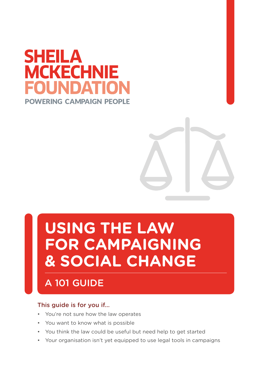

# **USING THE LAW FOR CAMPAIGNING & SOCIAL CHANGE**

A 101 GUIDE

# This guide is for you if…

- You're not sure how the law operates
- You want to know what is possible
- You think the law could be useful but need help to get started
- Your organisation isn't yet equipped to use legal tools in campaigns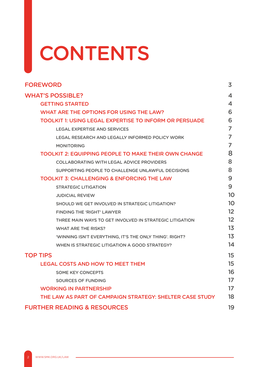# CONTENTS

| <b>FOREWORD</b>                                               | 3              |
|---------------------------------------------------------------|----------------|
| <b>WHAT'S POSSIBLE?</b>                                       | 4              |
| <b>GETTING STARTED</b>                                        | 4              |
| WHAT ARE THE OPTIONS FOR USING THE LAW?                       | 6              |
| <b>TOOLKIT 1: USING LEGAL EXPERTISE TO INFORM OR PERSUADE</b> | 6              |
| <b>LEGAL EXPERTISE AND SERVICES</b>                           | 7              |
| <b>LEGAL RESEARCH AND LEGALLY INFORMED POLICY WORK</b>        | 7              |
| <b>MONITORING</b>                                             | 7              |
| <b>TOOLKIT 2: EQUIPPING PEOPLE TO MAKE THEIR OWN CHANGE</b>   | 8              |
| <b>COLLABORATING WITH LEGAL ADVICE PROVIDERS</b>              | 8              |
| SUPPORTING PEOPLE TO CHALLENGE UNLAWFUL DECISIONS             | 8              |
| <b>TOOLKIT 3: CHALLENGING &amp; ENFORCING THE LAW</b>         | 9              |
| <b>STRATEGIC LITIGATION</b>                                   | 9              |
| <b>JUDICIAL REVIEW</b>                                        | 10             |
| SHOULD WE GET INVOLVED IN STRATEGIC LITIGATION?               | 10             |
| <b>FINDING THE 'RIGHT' LAWYER</b>                             | 12             |
| THREE MAIN WAYS TO GET INVOLVED IN STRATEGIC LITIGATION       | 12             |
| <b>WHAT ARE THE RISKS?</b>                                    | 1 <sub>3</sub> |
| 'WINNING ISN'T EVERYTHING, IT'S THE ONLY THING'. RIGHT?       | 1 <sub>3</sub> |
| WHEN IS STRATEGIC LITIGATION A GOOD STRATEGY?                 | 14             |
| <b>TOP TIPS</b>                                               | 15             |
| <b>LEGAL COSTS AND HOW TO MEET THEM</b>                       | 15             |
| <b>SOME KEY CONCEPTS</b>                                      | 16             |
| <b>SOURCES OF FUNDING</b>                                     | 17             |
| <b>WORKING IN PARTNERSHIP</b>                                 | 17             |
| THE LAW AS PART OF CAMPAIGN STRATEGY: SHELTER CASE STUDY      | 18             |
| <b>FURTHER READING &amp; RESOURCES</b>                        | 19             |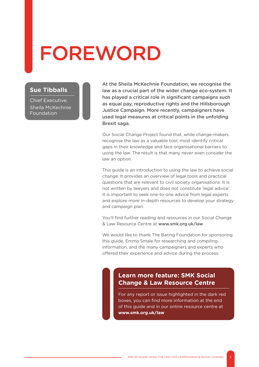# FOREWORD

# **Sue Tibballs**

Chief Executive, Sheila McKechnie Foundation

At the Sheila McKechnie Foundation, we recognise the law as a crucial part of the wider change eco-system. It has played a critical role in significant campaigns such as equal pay, reproductive rights and the Hillsborough Justice Campaign. More recently, campaigners have used legal measures at critical points in the unfolding Brexit saga.

Our Social Change Project found that, while change-makers recognise the law as a valuable tool, most identify critical gaps in their knowledge and face organisational barriers to using the law. The result is that many never even consider the law an option.

This guide is an introduction to using the law to achieve social change. It provides an overview of legal tools and practical questions that are relevant to civil society organisations. It is not written by lawyers and does not constitute 'legal advice'. It is important to seek one-to-one advice from legal experts and explore more in-depth resources to develop your strategy and campaign plan.

You'll find further reading and resources in our Social Change & Law Resource Centre at www.smk.org.uk/law

We would like to thank The Baring Foundation for sponsoring this guide, Emma Smale for researching and compiling information, and the many campaigners and experts who offered their experience and advice during the process.

# **Learn more feature: SMK Social Change & Law Resource Centre**

For any report or issue highlighted in the dark red boxes, you can find more information at the end of this guide and in our online resource centre at **www.smk.org.uk/law**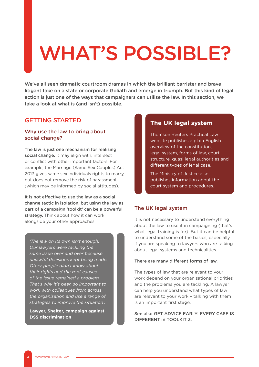# WHAT'S POSSIBLE?

We've all seen dramatic courtroom dramas in which the brilliant barrister and brave litigant take on a state or corporate Goliath and emerge in triumph. But this kind of legal action is just one of the ways that campaigners can utilise the law. In this section, we take a look at what is (and isn't) possible.

# GETTING STARTED

#### Why use the law to bring about social change?

The law is just one mechanism for realising social change. It may align with, intersect or conflict with other important factors. For example, the Marriage (Same Sex Couples) Act 2013 gives same sex individuals rights to marry, but does not remove the risk of harassment (which may be informed by social attitudes).

It is not effective to use the law as a social change tactic in isolation, but using the law as part of a campaign 'toolkit' can be a powerful strategy. Think about how it can work alongside your other approaches.

*'The law on its own isn't enough. Our lawyers were tackling the same issue over and over because unlawful decisions kept being made. Other people didn't know about their rights and the root causes of the issue remained a problem. That's why it's been so important to work with colleagues from across the organisation and use a range of strategies to improve the situation'.*

**Lawyer, Shelter, campaign against DSS discrimination**

# **The UK legal system**

Thomson Reuters Practical Law website publishes a plain English overview of the constitution, legal system, forms of law, court structure, quasi legal authorities and different types of legal case.

The Ministry of Justice also publishes information about the court system and procedures.

### The UK legal system

It is not necessary to understand everything about the law to use it in campaigning (that's what legal training is for). But it can be helpful to understand some of the basics, especially if you are speaking to lawyers who are talking about legal systems and technicalities.

#### There are many different forms of law.

The types of law that are relevant to your work depend on your organisational priorities and the problems you are tackling. A lawyer can help you understand what types of law are relevant to your work – talking with them is an important first stage.

See also GET ADVICE EARLY: EVERY CASE IS DIFFERENT in TOOLKIT 3.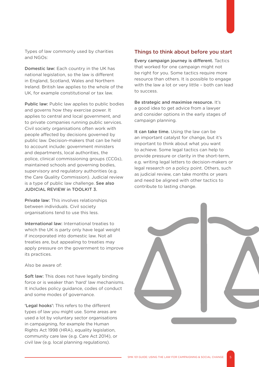Types of law commonly used by charities and NGOs:

Domestic law: Each country in the UK has national legislation, so the law is different in England, Scotland, Wales and Northern Ireland. British law applies to the whole of the UK, for example constitutional or tax law.

Public law: Public law applies to public bodies and governs how they exercise power. It applies to central and local government, and to private companies running public services. Civil society organisations often work with people affected by decisions governed by public law. Decision-makers that can be held to account include: government ministers and departments, local authorities, the police, clinical commissioning groups (CCGs), maintained schools and governing bodies, supervisory and regulatory authorities (e.g. the Care Quality Commission). Judicial review is a type of public law challenge. See also JUDICIAL REVIEW in TOOLKIT 3.

Private law: This involves relationships between individuals. Civil society organisations tend to use this less.

International law: International treaties to which the UK is party only have legal weight if incorporated into domestic law. Not all treaties are, but appealing to treaties may apply pressure on the government to improve its practices.

Also be aware of:

Soft law: This does not have legally binding force or is weaker than 'hard' law mechanisms. It includes policy guidance, codes of conduct and some modes of governance.

'Legal hooks': This refers to the different types of law you might use. Some areas are used a lot by voluntary sector organisations in campaigning, for example the Human Rights Act 1998 (HRA), equality legislation, community care law (e.g. Care Act 2014), or civil law (e.g. local planning regulations).

#### Things to think about before you start

Every campaign journey is different. Tactics that worked for one campaign might not be right for you. Some tactics require more resource than others. It is possible to engage with the law a lot or very little – both can lead to success.

Be strategic and maximise resource. It's a good idea to get advice from a lawyer and consider options in the early stages of campaign planning.

It can take time. Using the law can be an important catalyst for change, but it's important to think about what you want to achieve. Some legal tactics can help to provide pressure or clarity in the short-term, e.g. writing legal letters to decision-makers or legal research on a policy point. Others, such as judicial review, can take months or years and need be aligned with other tactics to contribute to lasting change.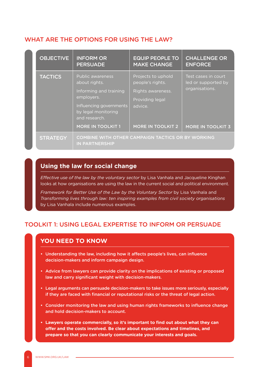# WHAT ARE THE OPTIONS FOR USING THE LAW?

| <b>OBJECTIVE</b> | <b>INFORM OR</b><br><b>PERSUADE</b>                                                                                                                                      | <b>EQUIP PEOPLE TO</b><br><b>MAKE CHANGE</b>                                                                          | <b>CHALLENGE OR</b><br><b>ENFORCE</b>                                                    |
|------------------|--------------------------------------------------------------------------------------------------------------------------------------------------------------------------|-----------------------------------------------------------------------------------------------------------------------|------------------------------------------------------------------------------------------|
| <b>TACTICS</b>   | Public awareness<br>about rights.<br>Informing and training<br>employers.<br>Influencing governments<br>by legal monitoring<br>and research.<br><b>MORE IN TOOLKIT 1</b> | Projects to uphold<br>people's rights.<br>Rights awareness.<br>Providing legal<br>advice.<br><b>MORE IN TOOLKIT 2</b> | Test cases in court<br>led or supported by<br>organisations.<br><b>MORE IN TOOLKIT 3</b> |
| <b>STRATEGY</b>  | <b>COMBINE WITH OTHER CAMPAIGN TACTICS OR BY WORKING</b><br>IN PARTNERSHIP                                                                                               |                                                                                                                       |                                                                                          |

# **Using the law for social change**

*Effective use of the law by the voluntary sector* by Lisa Vanhala and Jacqueline Kinghan looks at how organisations are using the law in the current social and political environment.

*Framework for Better Use of the Law by the Voluntary Sector* by Lisa Vanhala and *Transforming lives through law: ten inspiring examples from civil society organisations*  by Lisa Vanhala include numerous examples.

# TOOLKIT 1: USING LEGAL EXPERTISE TO INFORM OR PERSUADE

# **YOU NEED TO KNOW**

- Understanding the law, including how it affects people's lives, can influence decision-makers and inform campaign design.
- Advice from lawyers can provide clarity on the implications of existing or proposed law and carry significant weight with decision-makers.
- Legal arguments can persuade decision-makers to take issues more seriously, especially if they are faced with financial or reputational risks or the threat of legal action.
- Consider monitoring the law and using human rights frameworks to influence change and hold decision-makers to account.
- **• Lawyers operate commercially, so it's important to find out about what they can offer and the costs involved. Be clear about expectations and timelines, and prepare so that you can clearly communicate your interests and goals.**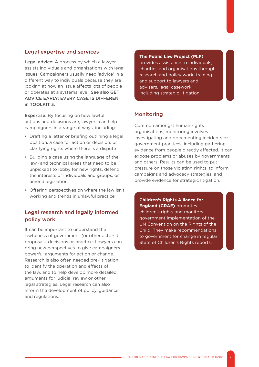#### Legal expertise and services

Legal advice: A process by which a lawyer assists individuals and organisations with legal issues. Campaigners usually need 'advice' in a different way to individuals because they are looking at how an issue affects lots of people or operates at a systems level. See also GET ADVICE EARLY: EVERY CASE IS DIFFERENT in TOOLKIT 3.

Expertise: By focusing on how lawful actions and decisions are, lawyers can help campaigners in a range of ways, including:

- Drafting a letter or briefing outlining a legal position, a case for action or decision, or clarifying rights where there is a dispute
- Building a case using the language of the law (and technical areas that need to be unpicked) to lobby for new rights, defend the interests of individuals and groups, or amend legislation
- Offering perspectives on where the law isn't working and trends in unlawful practice

## Legal research and legally informed policy work

It can be important to understand the lawfulness of government (or other actors') proposals, decisions or practice. Lawyers can bring new perspectives to give campaigners powerful arguments for action or change. Research is also often needed pre-litigation to identify the operation and effects of the law, and to help develop more detailed arguments for judicial review or other legal strategies. Legal research can also inform the development of policy, guidance and regulations.

**The Public Law Project (PLP)** provides assistance to individuals, charities and organisations through research and policy work, training and support to lawyers and advisers, legal casework including strategic litigation.

#### Monitoring

Common amongst human rights organisations, monitoring involves investigating and documenting incidents or government practices, including gathering evidence from people directly affected. It can expose problems or abuses by governments and others. Results can be used to put pressure on those violating rights, to inform campaigns and advocacy strategies, and provide evidence for strategic litigation.

**Children's Rights Alliance for England (CRAE)** promotes children's rights and monitors government implementation of the UN Convention on the Rights of the Child. They make recommendations to government for change in regular State of Children's Rights reports.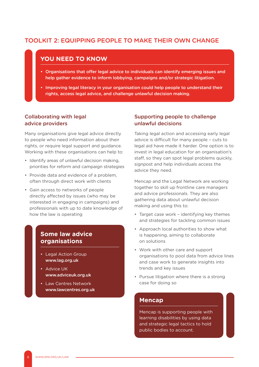# TOOLKIT 2: EQUIPPING PEOPLE TO MAKE THEIR OWN CHANGE

# **YOU NEED TO KNOW**

- Organisations that offer legal advice to individuals can identify emerging issues and help gather evidence to inform lobbying, campaigns and/or strategic litigation.
- Improving legal literacy in your organisation could help people to understand their rights, access legal advice, and challenge unlawful decision making.

### Collaborating with legal advice providers

Many organisations give legal advice directly to people who need information about their rights, or require legal support and guidance. Working with these organisations can help to:

- Identify areas of unlawful decision making, priorities for reform and campaign strategies
- Provide data and evidence of a problem, often through direct work with clients
- Gain access to networks of people directly affected by issues (who may be interested in engaging in campaigns) and professionals with up to date knowledge of how the law is operating

# **Some law advice organisations**

- Legal Action Group www.lag.org.uk
- Advice UK www.adviceuk.org.uk
- Law Centres Network www.lawcentres.org.uk

# Supporting people to challenge unlawful decisions

Taking legal action and accessing early legal advice is difficult for many people – cuts to legal aid have made it harder. One option is to invest in legal education for an organisation's staff, so they can spot legal problems quickly, signpost and help individuals access the advice they need.

Mencap and the Legal Network are working together to skill up frontline care managers and advice professionals. They are also gathering data about unlawful decision making and using this to:

- Target case work identifying key themes and strategies for tackling common issues
- Approach local authorities to show what is happening, aiming to collaborate on solutions
- Work with other care and support organisations to pool data from advice lines and case work to generate insights into trends and key issues
- Pursue litigation where there is a strong case for doing so

# **Mencap**

Mencap is supporting people with learning disabilities by using data and strategic legal tactics to hold public bodies to account.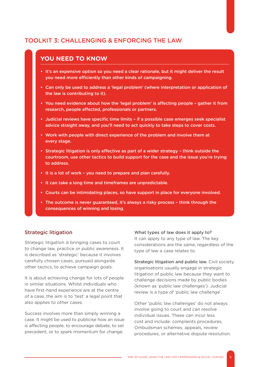# TOOLKIT 3: CHALLENGING & ENFORCING THE LAW

# **YOU NEED TO KNOW** • It's an expensive option so you need a clear rationale, but it might deliver the result you need more efficiently than other kinds of campaigning. • Can only be used to address a 'legal problem' (where interpretation or application of the law is contributing to it).

- You need evidence about how the 'legal problem' is affecting people gather it from research, people affected, professionals or partners.
- Judicial reviews have specific time limits if a possible case emerges seek specialist advice straight away, and you'll need to act quickly to take steps to cover costs.
- Work with people with direct experience of the problem and involve them at every stage.
- Strategic litigation is only effective as part of a wider strategy think outside the courtroom, use other tactics to build support for the case and the issue you're trying to address.
- It is a lot of work you need to prepare and plan carefully.
- It can take a long time and timeframes are unpredictable.
- Courts can be intimidating places, so have support in place for everyone involved.
- The outcome is never guaranteed, it's always a risky process think through the consequences of winning and losing.

# Strategic litigation

Strategic litigation is bringing cases to court to change law, practice or public awareness. It is described as 'strategic' because it involves carefully chosen cases, pursued alongside other tactics, to achieve campaign goals.

It is about achieving change for lots of people in similar situations. Whilst individuals who have first-hand experience are at the centre of a case, the aim is to 'test' a legal point that also applies to other cases.

Success involves more than simply winning a case. It might be used to publicise how an issue is affecting people, to encourage debate, to set precedent, or to spark momentum for change.

#### What types of law does it apply to?

It can apply to any type of law. The key considerations are the same, regardless of the type of law a case relates to.

Strategic litigation and public law. Civil society organisations usually engage in strategic litigation of public law because they want to challenge decisions made by public bodies (known as 'public law challenges'). Judicial review is a type of 'public law challenge'.

Other 'public law challenges' do not always involve going to court and can resolve individual issues. These can incur less cost and include: complaints procedures, Ombudsman schemes, appeals, review procedures, or alternative dispute resolution.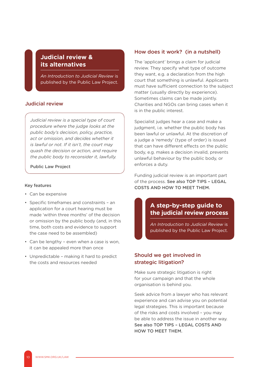# **Judicial review & its alternatives**

*An Introduction to Judicial Review* is published by the Public Law Project.

### Judicial review

*Judicial review is a special type of court procedure where the judge looks at the public body's decision, policy, practice, act or omission, and decides whether it is lawful or not. If it isn't, the court may quash the decision or action, and require the public body to reconsider it, lawfully.*

#### Public Law Project

#### Key features

- Can be expensive
- Specific timeframes and constraints an application for a court hearing must be made 'within three months' of the decision or omission by the public body (and, in this time, both costs and evidence to support the case need to be assembled)
- Can be lengthy even when a case is won, it can be appealed more than once
- Unpredictable making it hard to predict the costs and resources needed

#### How does it work? (in a nutshell)

The 'applicant' brings a claim for judicial review. They specify what type of outcome they want, e.g. a declaration from the high court that something is unlawful. Applicants must have sufficient connection to the subject matter (usually directly by experience). Sometimes claims can be made jointly. Charities and NGOs can bring cases when it is in the public interest.

Specialist judges hear a case and make a judgment, i.e. whether the public body has been lawful or unlawful. At the discretion of a judge a 'remedy' (type of order) is issued that can have different effects on the public body, e.g. makes a decision invalid, prevents unlawful behaviour by the public body, or enforces a duty.

Funding judicial review is an important part of the process. See also TOP TIPS – LEGAL COSTS AND HOW TO MEET THEM.

# **A step-by-step guide to the judicial review process**

*An Introduction to Judicial Review* is published by the Public Law Project.

# Should we get involved in strategic litigation?

Make sure strategic litigation is right for your campaign and that the whole organisation is behind you.

Seek advice from a lawyer who has relevant experience and can advise you on potential legal strategies. This is important because of the risks and costs involved – you may be able to address the issue in another way. See also TOP TIPS – LEGAL COSTS AND HOW TO MEET THEM.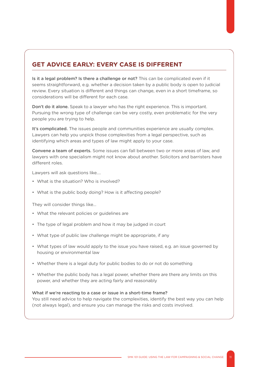# **GET ADVICE EARLY: EVERY CASE IS DIFFERENT**

Is it a legal problem? Is there a challenge or not? This can be complicated even if it seems straightforward, e.g. whether a decision taken by a public body is open to judicial review. Every situation is different and things can change, even in a short timeframe, so considerations will be different for each case.

Don't do it alone. Speak to a lawyer who has the right experience. This is important. Pursuing the wrong type of challenge can be very costly, even problematic for the very people you are trying to help.

It's complicated. The issues people and communities experience are usually complex. Lawyers can help you unpick those complexities from a legal perspective, such as identifying which areas and types of law might apply to your case.

Convene a team of experts. Some issues can fall between two or more areas of law, and lawyers with one specialism might not know about another. Solicitors and barristers have different roles.

Lawyers will ask questions like….

- What is the situation? Who is involved?
- What is the public body doing? How is it affecting people?

They will consider things like…

- What the relevant policies or guidelines are
- The type of legal problem and how it may be judged in court
- What type of public law challenge might be appropriate, if any
- What types of law would apply to the issue you have raised, e.g. an issue governed by housing or environmental law
- Whether there is a legal duty for public bodies to do or not do something
- Whether the public body has a legal power, whether there are there any limits on this power, and whether they are acting fairly and reasonably

#### What if we're reacting to a case or issue in a short-time frame?

You still need advice to help navigate the complexities, identify the best way you can help (not always legal), and ensure you can manage the risks and costs involved.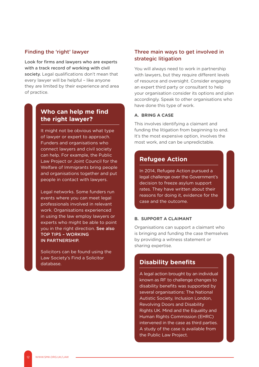#### Finding the 'right' lawyer

Look for firms and lawyers who are experts with a track record of working with civil society. Legal qualifications don't mean that every lawyer will be helpful – like anyone they are limited by their experience and area of practice.

# **Who can help me find the right lawyer?**

It might not be obvious what type of lawyer or expert to approach. Funders and organisations who connect lawyers and civil society can help. For example, the Public Law Project or Joint Council for the Welfare of Immigrants bring people and organisations together and put people in contact with lawyers.

Legal networks. Some funders run events where you can meet legal professionals involved in relevant work. Organisations experienced in using the law employ lawyers or experts who might be able to point you in the right direction. See also TOP TIPS – WORKING IN PARTNERSHIP.

Solicitors can be found using the Law Society's Find a Solicitor database.

# Three main ways to get involved in strategic litigation

You will always need to work in partnership with lawyers, but they require different levels of resource and oversight. Consider engaging an expert third party or consultant to help your organisation consider its options and plan accordingly. Speak to other organisations who have done this type of work.

#### **A. BRING A CASE**

This involves identifying a claimant and funding the litigation from beginning to end. It's the most expensive option, involves the most work, and can be unpredictable.

# **Refugee Action**

In 2014, Refugee Action pursued a legal challenge over the Government's decision to freeze asylum support rates. They have written about their reasons for doing it, evidence for the case and the outcome.

#### **B. SUPPORT A CLAIMANT**

Organisations can support a claimant who is bringing and funding the case themselves by providing a witness statement or sharing expertise.

# **Disability benefits**

A legal action brought by an individual known as RF to challenge changes to disability benefits was supported by several organisations: The National Autistic Society, Inclusion London, Revolving Doors and Disability Rights UK. Mind and the Equality and Human Rights Commission (EHRC) intervened in the case as third parties. A study of the case is available from the Public Law Project.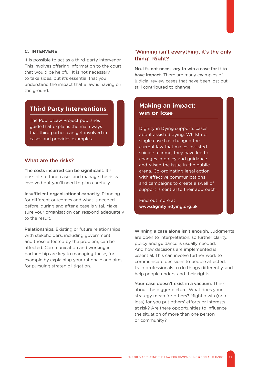#### **C. INTERVENE**

It is possible to act as a third-party intervenor. This involves offering information to the court that would be helpful. It is not necessary to take sides, but it's essential that you understand the impact that a law is having on the ground.

# **Third Party Interventions**

The Public Law Project publishes guide that explains the main ways that third parties can get involved in cases and provides examples.

#### What are the risks?

The costs incurred can be significant. It's possible to fund cases and manage the risks involved but you'll need to plan carefully.

Insufficient organisational capacity. Planning for different outcomes and what is needed before, during and after a case is vital. Make sure your organisation can respond adequately to the result.

Relationships. Existing or future relationships with stakeholders, including government and those affected by the problem, can be affected. Communication and working in partnership are key to managing these, for example by explaining your rationale and aims for pursuing strategic litigation.

# 'Winning isn't everything, it's the only thing'. Right?

No. It's not necessary to win a case for it to have impact. There are many examples of judicial review cases that have been lost but still contributed to change.

# **Making an impact: win or lose**

Dignity in Dying supports cases about assisted dying. Whilst no single case has changed the current law that makes assisted suicide a crime, they have led to changes in policy and guidance and raised the issue in the public arena. Co-ordinating legal action with effective communications and campaigns to create a swell of support is central to their approach.

Find out more at www.dignityindying.org.uk

Winning a case alone isn't enough. Judgments are open to interpretation, so further clarity, policy and guidance is usually needed. And how decisions are implemented is essential. This can involve further work to communicate decisions to people affected, train professionals to do things differently, and help people understand their rights.

Your case doesn't exist in a vacuum. Think about the bigger picture. What does your strategy mean for others? Might a win (or a loss) for you put others' efforts or interests at risk? Are there opportunities to influence the situation of more than one person or community?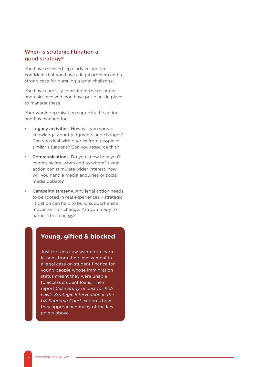# When is strategic litigation a good strategy?

You have received legal advice and are confident that you have a legal problem and a strong case for pursuing a legal challenge.

You have carefully considered the resources and risks involved. You have put plans in place to manage these.

Your whole organisation supports the action, and has planned for:

- Legacy activities. How will you spread knowledge about judgments and changes? Can you deal with queries from people in similar situations? Can you resource this?
- Communications. Do you know how you'll communicate, when and to whom? Legal action can stimulate wider interest, how will you handle media enquiries or social media debate?
- **Campaign strategy.** Any legal action needs to be rooted in real experiences – strategic litigation can help to build support and a movement for change. Are you ready to harness this energy?

### **Young, gifted & blocked**

Just for Kids Law wanted to learn lessons from their involvement in a legal case on student finance for young people whose immigration status meant they were unable to access student loans. Their report *Case Study of Just for Kids Law's Strategic Intervention in the UK Supreme Court* explores how they approached many of the key points above.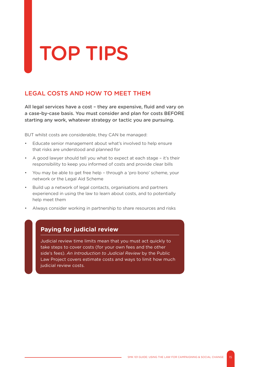# TOP TIPS

# LEGAL COSTS AND HOW TO MEET THEM

All legal services have a cost – they are expensive, fluid and vary on a case-by-case basis. You must consider and plan for costs BEFORE starting any work, whatever strategy or tactic you are pursuing.

BUT whilst costs are considerable, they CAN be managed:

- Educate senior management about what's involved to help ensure that risks are understood and planned for
- A good lawyer should tell you what to expect at each stage it's their responsibility to keep you informed of costs and provide clear bills
- You may be able to get free help through a 'pro bono' scheme, your network or the Legal Aid Scheme
- Build up a network of legal contacts, organisations and partners experienced in using the law to learn about costs, and to potentially help meet them
- Always consider working in partnership to share resources and risks

# **Paying for judicial review**

Judicial review time limits mean that you must act quickly to take steps to cover costs (for your own fees and the other side's fees). *An Introduction to Judicial Review* by the Public Law Project covers estimate costs and ways to limit how much judicial review costs.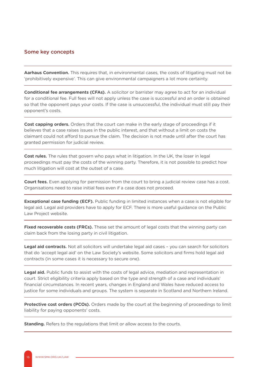#### Some key concepts

**Aarhaus Convention.** This requires that, in environmental cases, the costs of litigating must not be 'prohibitively expensive'. This can give environmental campaigners a lot more certainty.

**Conditional fee arrangements (CFAs).** A solicitor or barrister may agree to act for an individual for a conditional fee. Full fees will not apply unless the case is successful and an order is obtained so that the opponent pays your costs. If the case is unsuccessful, the individual must still pay their opponent's costs.

**Cost capping orders.** Orders that the court can make in the early stage of proceedings if it believes that a case raises issues in the public interest, and that without a limit on costs the claimant could not afford to pursue the claim. The decision is not made until after the court has granted permission for judicial review.

**Cost rules.** The rules that govern who pays what in litigation. In the UK, the loser in legal proceedings must pay the costs of the winning party. Therefore, it is not possible to predict how much litigation will cost at the outset of a case.

**Court fees.** Even applying for permission from the court to bring a judicial review case has a cost. Organisations need to raise initial fees even if a case does not proceed.

**Exceptional case funding (ECF).** Public funding in limited instances when a case is not eligible for legal aid. Legal aid providers have to apply for ECF. There is more useful guidance on the Public Law Project website.

**Fixed recoverable costs (FRCs).** These set the amount of legal costs that the winning party can claim back from the losing party in civil litigation.

**Legal aid contracts.** Not all solicitors will undertake legal aid cases – you can search for solicitors that do 'accept legal aid' on the Law Society's website. Some solicitors and firms hold legal aid contracts (in some cases it is necessary to secure one).

**Legal aid.** Public funds to assist with the costs of legal advice, mediation and representation in court. Strict eligibility criteria apply based on the type and strength of a case and individuals' financial circumstances. In recent years, changes in England and Wales have reduced access to justice for some individuals and groups. The system is separate in Scotland and Northern Ireland.

**Protective cost orders (PCOs).** Orders made by the court at the beginning of proceedings to limit liability for paying opponents' costs.

**Standing.** Refers to the regulations that limit or allow access to the courts.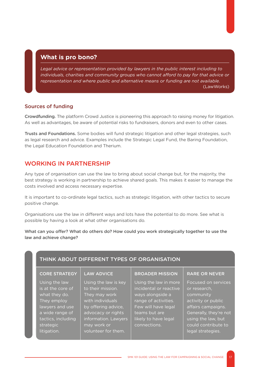# **What is pro bono?**

Legal advice or representation provided by lawyers in the public interest including to *individuals, charities and community groups who cannot afford to pay for that advice or representation and where public and alternative means or funding are not available*. (LawWorks)

#### Sources of funding

Crowdfunding. The platform Crowd Justice is pioneering this approach to raising money for litigation. As well as advantages, be aware of potential risks to fundraisers, donors and even to other cases.

Trusts and Foundations. Some bodies will fund strategic litigation and other legal strategies, such as legal research and advice. Examples include the Strategic Legal Fund, the Baring Foundation, the Legal Education Foundation and Therium.

# WORKING IN PARTNERSHIP

Any type of organisation can use the law to bring about social change but, for the majority, the best strategy is working in partnership to achieve shared goals. This makes it easier to manage the costs involved and access necessary expertise.

It is important to co-ordinate legal tactics, such as strategic litigation, with other tactics to secure positive change.

Organisations use the law in different ways and lots have the potential to do more. See what is possible by having a look at what other organisations do.

What can you offer? What do others do? How could you work strategically together to use the law and achieve change?

### THINK ABOUT DIFFERENT TYPES OF ORGANISATION

#### CORE STRATEGY

LAW ADVICE

Using the law is at the core of what they do. They employ lawyers and use a wide range of tactics, including strategic litigation.

Using the law is key to their mission. They may work with individuals by offering advice, advocacy or rights information. Lawyers may work or volunteer for them.

#### BROADER MISSION

Using the law in more incidental or reactive ways alongside a range of activities. Few will have legal teams but are likely to have legal connections.

#### RARE OR NEVER

Focused on services or research, community activity or public affairs campaigns. Generally, they're not using the law, but could contribute to legal strategies.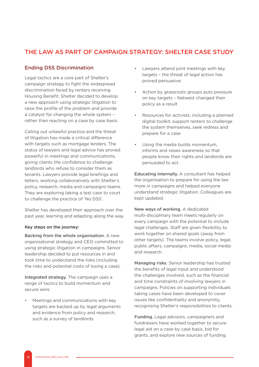# THE LAW AS PART OF CAMPAIGN STRATEGY: SHELTER CASE STUDY

# Ending DSS Discrimination

Legal tactics are a core part of Shelter's campaign strategy to fight the widespread discrimination faced by renters receiving Housing Benefit. Shelter decided to develop a new approach using strategic litigation to raise the profile of the problem and provide a catalyst for changing the whole system – rather than reacting on a case by case basis.

Calling out unlawful practice and the threat of litigation has made a critical difference with targets such as mortgage lenders. The status of lawyers and legal advice has proved powerful in meetings and communications, giving clients the confidence to challenge landlords who refuse to consider them as tenants. Lawyers provide legal briefings and letters, working collaboratively with Shelter's policy, research, media and campaigns teams. They are exploring taking a test case to court to challenge the practice of 'No DSS'.

Shelter has developed their approach over the past year, learning and adapting along the way.

#### **Key steps on the journey:**

Backing from the whole organisation. A new organisational strategy and CEO committed to using strategic litigation in campaigns. Senior leadership decided to put resources in and took time to understand the risks (including the risks and potential costs of losing a case).

Integrated strategy. The campaign uses a range of tactics to build momentum and secure wins:

• Meetings and communications with key targets are backed up by legal arguments and evidence from policy and research, such as a survey of landlords

- Lawyers attend joint meetings with key targets – the threat of legal action has proved persuasive
- Action by grassroots groups puts pressure on key targets – Natwest changed their policy as a result
- Resources for activists, including a planned digital toolkit, support renters to challenge the system themselves, seek redress and prepare for a case
- Using the media builds momentum, informs and raises awareness so that people know their rights and landlords are persuaded to act.

Educating internally. A consultant has helped the organisation to prepare for using the law more in campaigns and helped everyone understand strategic litigation. Colleagues are kept updated.

New ways of working. A dedicated multi-disciplinary team meets regularly on every campaign with the potential to include legal challenges. Staff are given flexibility to work together on shared goals (away from other targets). The teams involve policy, legal, public affairs, campaigns, media, social media and research.

Managing risks. Senior leadership has trusted the benefits of legal input and understood the challenges involved, such as the financial and time constraints of involving lawyers in campaigns. Policies on supporting individuals taking cases have been developed to cover issues like confidentiality and anonymity, recognising Shelter's responsibilities to clients.

Funding. Legal advisors, campaigners and fundraisers have worked together to secure legal aid on a case by case basis, bid for grants, and explore new sources of funding.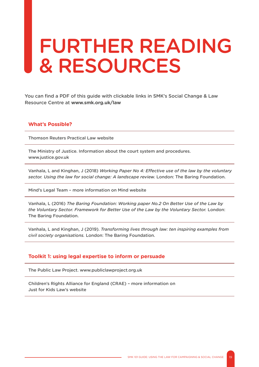# FURTHER READING & RESOURCES

You can find a PDF of this guide with clickable links in SMK's Social Change & Law Resource Centre at **www.smk.org.uk/law**

#### **What's Possible?**

[Thomson Reuters Practical Law website](https://uk.practicallaw.thomsonreuters.com/5-636-2498?transitionType=Default&contextData=(sc.Default)&firstPage=true&bhcp=1)

[The Ministry of Justice. Information about the court system and procedures.](http://www.justice.gov.uk)  [www.justice.gov.uk](http://www.justice.gov.uk)

Vanhala, L and Kinghan, J (2018) *[Working Paper No 4: Effective use of the law by the voluntary](https://baringfoundation.org.uk/wp-content/uploads/Using-the-law-landscape-review-final.pdf)  [sector. Using the law for social change: A landscape review.](https://baringfoundation.org.uk/wp-content/uploads/Using-the-law-landscape-review-final.pdf)* London: The Baring Foundation.

[Mind's Legal Team – more information on Mind website](https://www.mind.org.uk/about-us/our-policy-work/legal-casework/)

Vanhala, L (2016) *[The Baring Foundation: Working paper No.2 On Better Use of the Law by](https://baringfoundation.org.uk/wp-content/uploads/2016/07/Framework-for-better-use-of-law-WPaper2-1.pdf)  [the Voluntary Sector. Framework for Better Use of the Law by the Voluntary Sector.](https://baringfoundation.org.uk/wp-content/uploads/2016/07/Framework-for-better-use-of-law-WPaper2-1.pdf)* London: [The Baring Foundation.](https://baringfoundation.org.uk/wp-content/uploads/2016/07/Framework-for-better-use-of-law-WPaper2-1.pdf)

Vanhala, L and Kinghan, J (2019). *Transforming lives through law: ten inspiring examples from civil society organisations.* London: The Baring Foundation.

#### **Toolkit 1: using legal expertise to inform or persuade**

[The Public Law Project. www.publiclawproject.org.uk](http://www.publiclawproject.org.uk)

[Children's Rights Alliance for England \(CRAE\) – more information on](https://justforkidslaw.org/what-we-do/fighting-progress/monitoring-rights)  [Just for Kids Law's website](https://justforkidslaw.org/what-we-do/fighting-progress/monitoring-rights)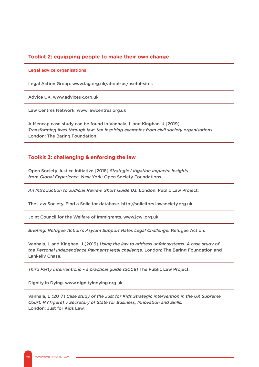#### **Toolkit 2: equipping people to make their own change**

#### **Legal advice organisations**

[Legal Action Group. www.lag.org.uk/about-us/useful-sites](https://www.lag.org.uk/about-us/useful-sites) 

[Advice UK. www.adviceuk.org.uk](https://www.adviceuk.org.uk) 

[Law Centres Network. www.lawcentres.org.uk](https://www.lawcentres.org.uk)

A Mencap case study can be found in Vanhala, L and Kinghan, J (2019). *Transforming lives through law: ten inspiring examples from civil society organisations.* London: The Baring Foundation.

#### **Toolkit 3: challenging & enforcing the law**

[Open Society Justice Initiative \(2018\)](https://www.justiceinitiative.org/publications/strategic-litigation-impacts-insights-global-experience) *Strategic Litigation Impacts: Insights from Global Experience.* [New York: Open Society Foundations.](https://www.justiceinitiative.org/publications/strategic-litigation-impacts-insights-global-experience)

*[An Introduction to Judicial Review. Short Guide 03.](https://publiclawproject.org.uk/wp-content/uploads/data/resources/6/PLP_Short_Guide_3_1305.pdf)* London: Public Law Project.

[The Law Society. Find a Solicitor database. http://solicitors.lawsociety.org.uk](http://solicitors.lawsociety.org.uk)

[Joint Council for the Welfare of Immigrants. www.jcwi.org.uk](https://www.jcwi.org.uk)

*[Briefing: Refugee Action's Asylum Support Rates Legal Challenge.](https://www.refugee-action.org.uk/resource/briefing-refugee-actions-asylum-support-rates-legal-challenge/)* Refugee Action.

Vanhala, L and Kinghan, J (2019) *[Using the law to address unfair systems. A case study of](https://publiclawproject.org.uk/uncategorized/using-the-law-to-address-unfair-systems/

)  [the Personal Independence Payments legal challenge.](https://publiclawproject.org.uk/uncategorized/using-the-law-to-address-unfair-systems/

)* London: The Baring Foundation and [Lankelly Chase.](https://publiclawproject.org.uk/uncategorized/using-the-law-to-address-unfair-systems/

)

*[Third Party Interventions – a practical guide \(2008\)](https://publiclawproject.org.uk/wp-content/uploads/data/resources/120/PLP_2008_Guide_3rd_Party_Interventions.pdf)* The Public Law Project.

[Dignity in Dying. www.dignityindying.org.uk](http://www.dignityindying.org.uk) 

Vanhala, L (2017) *[Case study of the Just for Kids Strategic intervention in the UK Supreme](https://justforkidslaw.org/sites/default/files/fields/download/JFKL-Tigere-Report-AWd_0.pdf)  [Court. R \(Tigere\) v Secretary of State for Business, Innovation and Skills.](https://justforkidslaw.org/sites/default/files/fields/download/JFKL-Tigere-Report-AWd_0.pdf)*  [London: Just for Kids Law.](https://justforkidslaw.org/sites/default/files/fields/download/JFKL-Tigere-Report-AWd_0.pdf)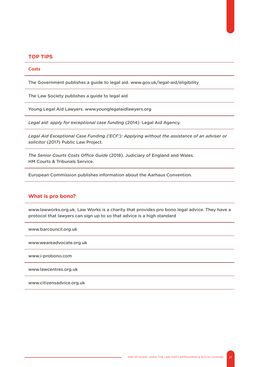#### **TOP TIPS**

#### **Costs**

[The Government publishes a guide to legal aid. www.gov.uk/legal-aid/eligibility](http://www.gov.uk/legal-aid/eligibility)

[The Law Society publishes a guide to legal aid](https://www.lawsociety.org.uk/for-the-public/paying-for-legal-services/legal-aid/)

[Young Legal Aid Lawyers. www.younglegalaidlawyers.org](http://www.younglegalaidlawyers.org/)

*[Legal aid: apply for exceptional case funding](https://www.gov.uk/guidance/legal-aid-apply-for-exceptional-case-funding)* (2014). Legal Aid Agency.

*[Legal Aid Exceptional Case Funding \('ECF'\): Applying without the assistance of an adviser or](https://publiclawproject.org.uk/resources/legal-aid-exceptional-case-funding-ecf-applying-without-the-assistance-of-an-adviser-or-solicitor/)  solicitor* [\(2017\) Public Law Project.](https://publiclawproject.org.uk/resources/legal-aid-exceptional-case-funding-ecf-applying-without-the-assistance-of-an-adviser-or-solicitor/)

*The Senior Courts Costs Office Guide* [\(2018\). Judiciary of England and Wales.](http://www.gov.uk/government/publications/senior-courts-costs-office-guide)  [HM Courts & Tribunals Service.](http://www.gov.uk/government/publications/senior-courts-costs-office-guide)

[European Commission publishes information about the Aarhaus Convention.](https://ec.europa.eu/environment/aarhus/index.htm)

#### **What is pro bono?**

[www.lawworks.org.uk. Law Works is a charity that provides pro bono legal advice. They have a](http://www.lawworks.org.uk)  [protocol that lawyers can sign up to so that advice is a high standard](http://www.lawworks.org.uk)

[www.barcouncil.org.uk](http://www.barcouncil.org.uk) 

[www.weareadvocate.org.uk](http://www.weareadvocate.org.uk)

[www.i-probono.com](http://www.i-probono.com)

[www.lawcentres.org.uk](http://www.lawcentres.org.uk)

[www.citizensadvice.org.uk](http://www.citizensadvice.org.uk)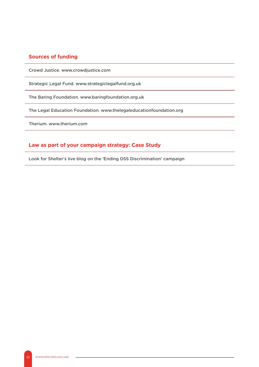# **Sources of funding**

[Crowd Justice. www.crowdjustice.com](https://www.crowdjustice.com/)

[Strategic Legal Fund. www.strategiclegalfund.org.uk](http://www.strategiclegalfund.org.uk)

[The Baring Foundation. www.baringfoundation.org.uk](https://baringfoundation.org.uk)

[The Legal Education Foundation. www.thelegaleducationfoundation.org](http://www.thelegaleducationfoundation.org)

[Therium. www.therium.com](http://www.therium.com) 

# **Law as part of your campaign strategy: Case Study**

[Look for Shelter's live blog on the 'Ending DSS Discrimination' campaign](https://blog.shelter.org.uk/2018/11/stop-dss-discrimination-live-blog/)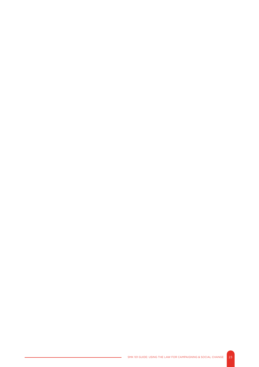$\overline{\phantom{a}}$